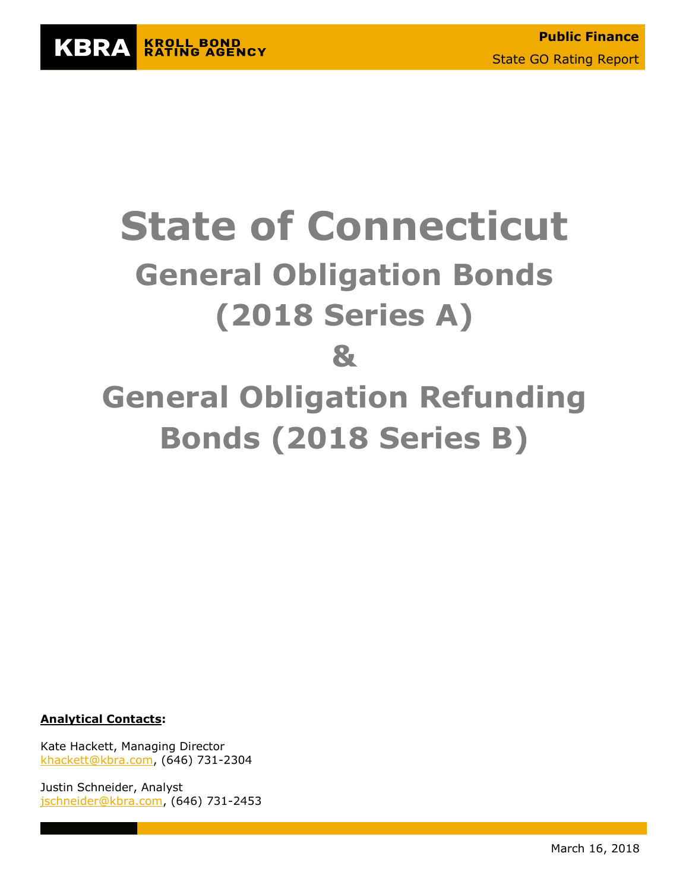

# **State of Connecticut General Obligation Bonds (2018 Series A) & General Obligation Refunding Bonds (2018 Series B)**

**Analytical Contacts:**

Kate Hackett, Managing Director [khackett@kbra.com,](mailto:khackett@kbra.com) (646) 731-2304

Justin Schneider, Analyst [jschneider@kbra.com,](mailto:jschneider@kbra.com) (646) 731-2453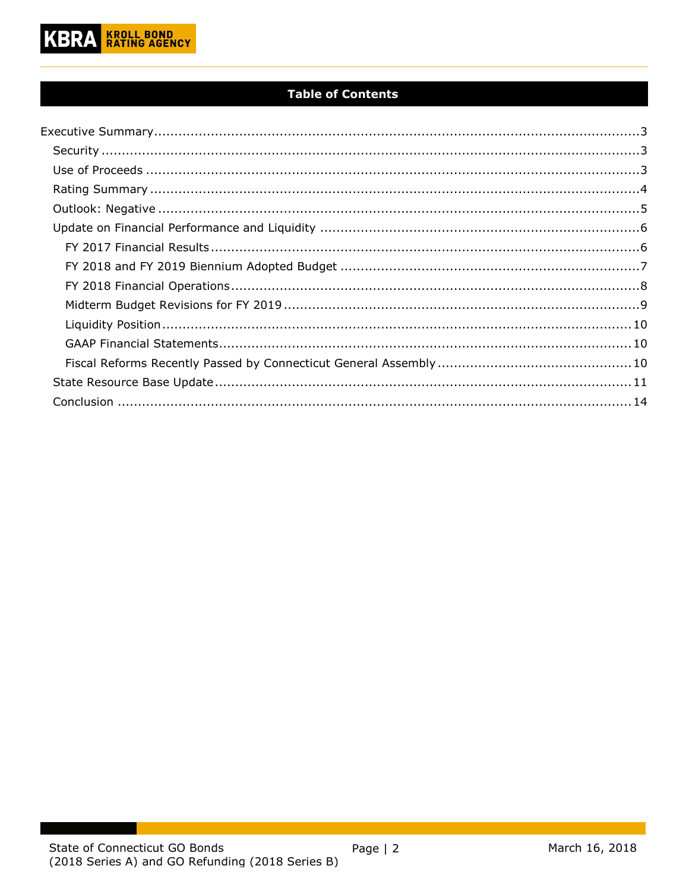

# **Table of Contents**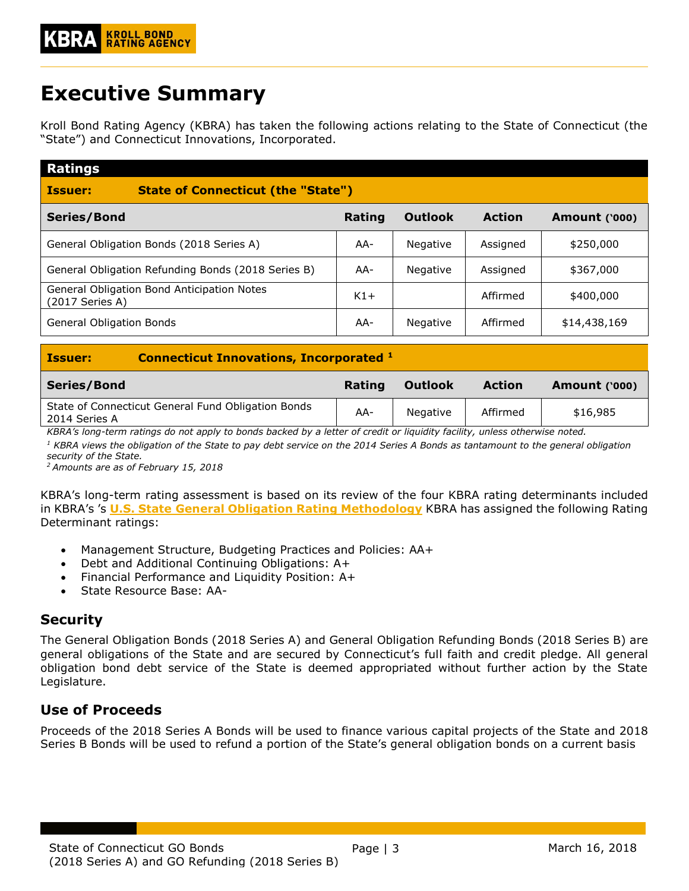# <span id="page-2-0"></span>**Executive Summary**

Kroll Bond Rating Agency (KBRA) has taken the following actions relating to the State of Connecticut (the "State") and Connecticut Innovations, Incorporated.

| <b>Ratings</b>                                                |        |                |               |                      |
|---------------------------------------------------------------|--------|----------------|---------------|----------------------|
| <b>State of Connecticut (the "State")</b><br><b>Issuer:</b>   |        |                |               |                      |
| Series/Bond                                                   | Rating | <b>Outlook</b> | <b>Action</b> | <b>Amount ('000)</b> |
| General Obligation Bonds (2018 Series A)                      | AA-    | Negative       | Assigned      | \$250,000            |
| General Obligation Refunding Bonds (2018 Series B)            | AA-    | Negative       | Assigned      | \$367,000            |
| General Obligation Bond Anticipation Notes<br>(2017 Series A) | $K1+$  |                | Affirmed      | \$400,000            |
| General Obligation Bonds                                      | AA-    | Negative       | Affirmed      | \$14,438,169         |

| <b>Connecticut Innovations, Incorporated 1</b><br><b>Issuer:</b> |                                                    |        |                |               |                      |  |  |
|------------------------------------------------------------------|----------------------------------------------------|--------|----------------|---------------|----------------------|--|--|
| Series/Bond                                                      |                                                    | Rating | <b>Outlook</b> | <b>Action</b> | <b>Amount ('000)</b> |  |  |
| 2014 Series A                                                    | State of Connecticut General Fund Obligation Bonds | AA-    | Negative       | Affirmed      | \$16,985             |  |  |

*KBRA's long-term ratings do not apply to bonds backed by a letter of credit or liquidity facility, unless otherwise noted.*

*<sup>1</sup> KBRA views the obligation of the State to pay debt service on the 2014 Series A Bonds as tantamount to the general obligation security of the State.*

*<sup>2</sup>Amounts are as of February 15, 2018*

KBRA's long-term rating assessment is based on its review of the four KBRA rating determinants included in KBRA's 's **U.S. State [General Obligation Rating Methodology](http://www.krollbondratings.com/show_report/74)** KBRA has assigned the following Rating Determinant ratings:

- Management Structure, Budgeting Practices and Policies: AA+
- Debt and Additional Continuing Obligations: A+
- Financial Performance and Liquidity Position: A+
- State Resource Base: AA-

# <span id="page-2-1"></span>**Security**

The General Obligation Bonds (2018 Series A) and General Obligation Refunding Bonds (2018 Series B) are general obligations of the State and are secured by Connecticut's full faith and credit pledge. All general obligation bond debt service of the State is deemed appropriated without further action by the State Legislature.

# <span id="page-2-2"></span>**Use of Proceeds**

Proceeds of the 2018 Series A Bonds will be used to finance various capital projects of the State and 2018 Series B Bonds will be used to refund a portion of the State's general obligation bonds on a current basis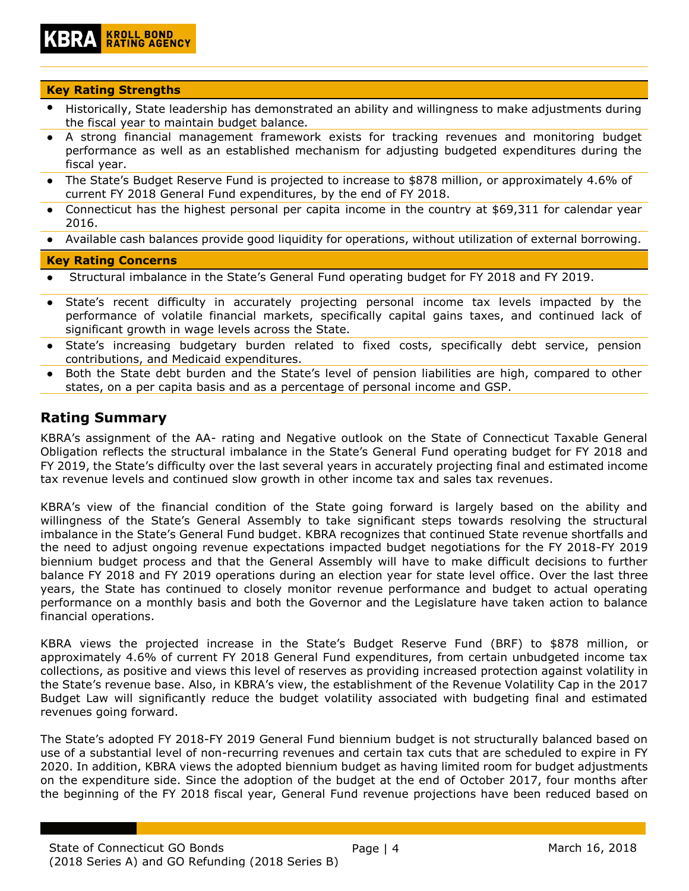#### **Key Rating Strengths**

- Historically, State leadership has demonstrated an ability and willingness to make adjustments during the fiscal year to maintain budget balance.
- A strong financial management framework exists for tracking revenues and monitoring budget performance as well as an established mechanism for adjusting budgeted expenditures during the fiscal year.
- The State's Budget Reserve Fund is projected to increase to \$878 million, or approximately 4.6% of current FY 2018 General Fund expenditures, by the end of FY 2018.
- Connecticut has the highest personal per capita income in the country at \$69,311 for calendar year 2016.
- Available cash balances provide good liquidity for operations, without utilization of external borrowing.

#### **Key Rating Concerns**

- Structural imbalance in the State's General Fund operating budget for FY 2018 and FY 2019.
- State's recent difficulty in accurately projecting personal income tax levels impacted by the performance of volatile financial markets, specifically capital gains taxes, and continued lack of significant growth in wage levels across the State.
- State's increasing budgetary burden related to fixed costs, specifically debt service, pension contributions, and Medicaid expenditures.
- Both the State debt burden and the State's level of pension liabilities are high, compared to other states, on a per capita basis and as a percentage of personal income and GSP.

# <span id="page-3-0"></span>**Rating Summary**

KBRA's assignment of the AA- rating and Negative outlook on the State of Connecticut Taxable General Obligation reflects the structural imbalance in the State's General Fund operating budget for FY 2018 and FY 2019, the State's difficulty over the last several years in accurately projecting final and estimated income tax revenue levels and continued slow growth in other income tax and sales tax revenues.

KBRA's view of the financial condition of the State going forward is largely based on the ability and willingness of the State's General Assembly to take significant steps towards resolving the structural imbalance in the State's General Fund budget. KBRA recognizes that continued State revenue shortfalls and the need to adjust ongoing revenue expectations impacted budget negotiations for the FY 2018-FY 2019 biennium budget process and that the General Assembly will have to make difficult decisions to further balance FY 2018 and FY 2019 operations during an election year for state level office. Over the last three years, the State has continued to closely monitor revenue performance and budget to actual operating performance on a monthly basis and both the Governor and the Legislature have taken action to balance financial operations.

KBRA views the projected increase in the State's Budget Reserve Fund (BRF) to \$878 million, or approximately 4.6% of current FY 2018 General Fund expenditures, from certain unbudgeted income tax collections, as positive and views this level of reserves as providing increased protection against volatility in the State's revenue base. Also, in KBRA's view, the establishment of the Revenue Volatility Cap in the 2017 Budget Law will significantly reduce the budget volatility associated with budgeting final and estimated revenues going forward.

The State's adopted FY 2018-FY 2019 General Fund biennium budget is not structurally balanced based on use of a substantial level of non-recurring revenues and certain tax cuts that are scheduled to expire in FY 2020. In addition, KBRA views the adopted biennium budget as having limited room for budget adjustments on the expenditure side. Since the adoption of the budget at the end of October 2017, four months after the beginning of the FY 2018 fiscal year, General Fund revenue projections have been reduced based on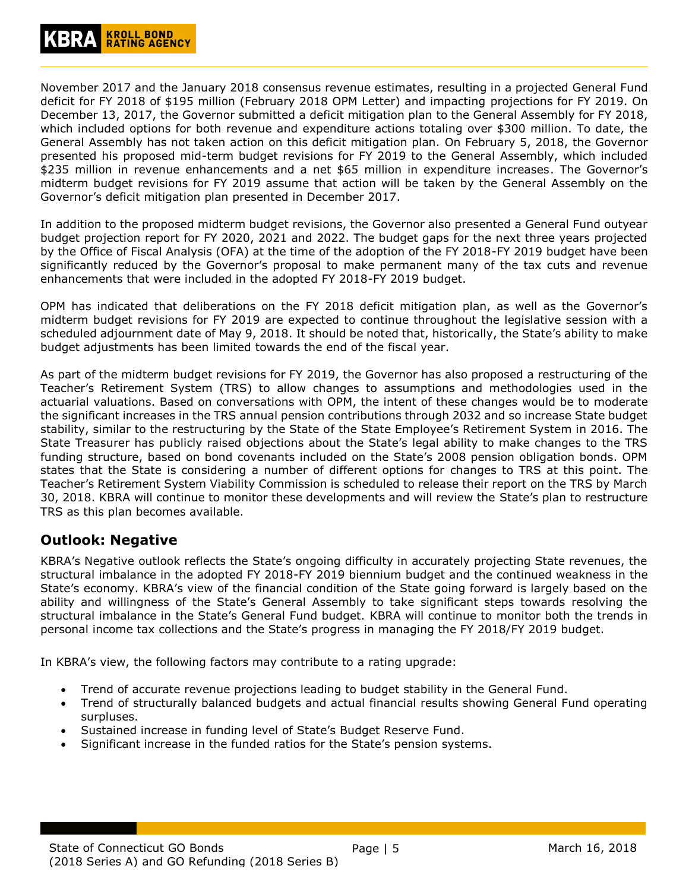November 2017 and the January 2018 consensus revenue estimates, resulting in a projected General Fund deficit for FY 2018 of \$195 million (February 2018 OPM Letter) and impacting projections for FY 2019. On December 13, 2017, the Governor submitted a deficit mitigation plan to the General Assembly for FY 2018, which included options for both revenue and expenditure actions totaling over \$300 million. To date, the General Assembly has not taken action on this deficit mitigation plan. On February 5, 2018, the Governor presented his proposed mid-term budget revisions for FY 2019 to the General Assembly, which included \$235 million in revenue enhancements and a net \$65 million in expenditure increases. The Governor's midterm budget revisions for FY 2019 assume that action will be taken by the General Assembly on the Governor's deficit mitigation plan presented in December 2017.

In addition to the proposed midterm budget revisions, the Governor also presented a General Fund outyear budget projection report for FY 2020, 2021 and 2022. The budget gaps for the next three years projected by the Office of Fiscal Analysis (OFA) at the time of the adoption of the FY 2018-FY 2019 budget have been significantly reduced by the Governor's proposal to make permanent many of the tax cuts and revenue enhancements that were included in the adopted FY 2018-FY 2019 budget.

OPM has indicated that deliberations on the FY 2018 deficit mitigation plan, as well as the Governor's midterm budget revisions for FY 2019 are expected to continue throughout the legislative session with a scheduled adjournment date of May 9, 2018. It should be noted that, historically, the State's ability to make budget adjustments has been limited towards the end of the fiscal year.

As part of the midterm budget revisions for FY 2019, the Governor has also proposed a restructuring of the Teacher's Retirement System (TRS) to allow changes to assumptions and methodologies used in the actuarial valuations. Based on conversations with OPM, the intent of these changes would be to moderate the significant increases in the TRS annual pension contributions through 2032 and so increase State budget stability, similar to the restructuring by the State of the State Employee's Retirement System in 2016. The State Treasurer has publicly raised objections about the State's legal ability to make changes to the TRS funding structure, based on bond covenants included on the State's 2008 pension obligation bonds. OPM states that the State is considering a number of different options for changes to TRS at this point. The Teacher's Retirement System Viability Commission is scheduled to release their report on the TRS by March 30, 2018. KBRA will continue to monitor these developments and will review the State's plan to restructure TRS as this plan becomes available.

# <span id="page-4-0"></span>**Outlook: Negative**

KBRA's Negative outlook reflects the State's ongoing difficulty in accurately projecting State revenues, the structural imbalance in the adopted FY 2018-FY 2019 biennium budget and the continued weakness in the State's economy. KBRA's view of the financial condition of the State going forward is largely based on the ability and willingness of the State's General Assembly to take significant steps towards resolving the structural imbalance in the State's General Fund budget. KBRA will continue to monitor both the trends in personal income tax collections and the State's progress in managing the FY 2018/FY 2019 budget.

In KBRA's view, the following factors may contribute to a rating upgrade:

- Trend of accurate revenue projections leading to budget stability in the General Fund.
- Trend of structurally balanced budgets and actual financial results showing General Fund operating surpluses.
- Sustained increase in funding level of State's Budget Reserve Fund.
- Significant increase in the funded ratios for the State's pension systems.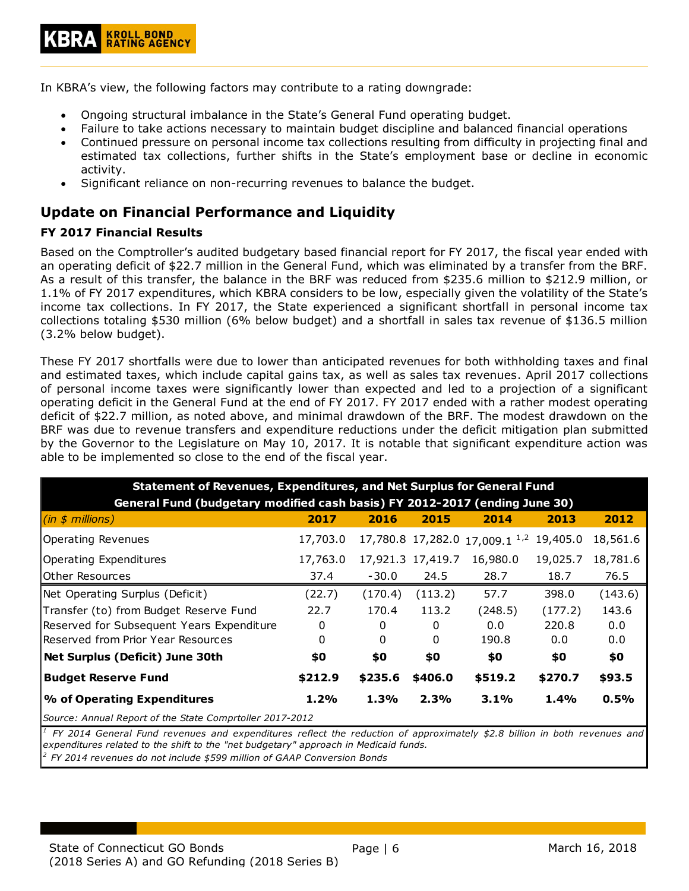In KBRA's view, the following factors may contribute to a rating downgrade:

- Ongoing structural imbalance in the State's General Fund operating budget.
- Failure to take actions necessary to maintain budget discipline and balanced financial operations
- Continued pressure on personal income tax collections resulting from difficulty in projecting final and estimated tax collections, further shifts in the State's employment base or decline in economic activity.
- Significant reliance on non-recurring revenues to balance the budget.

# <span id="page-5-0"></span>**Update on Financial Performance and Liquidity**

#### <span id="page-5-1"></span>**FY 2017 Financial Results**

Based on the Comptroller's audited budgetary based financial report for FY 2017, the fiscal year ended with an operating deficit of \$22.7 million in the General Fund, which was eliminated by a transfer from the BRF. As a result of this transfer, the balance in the BRF was reduced from \$235.6 million to \$212.9 million, or 1.1% of FY 2017 expenditures, which KBRA considers to be low, especially given the volatility of the State's income tax collections. In FY 2017, the State experienced a significant shortfall in personal income tax collections totaling \$530 million (6% below budget) and a shortfall in sales tax revenue of \$136.5 million (3.2% below budget).

These FY 2017 shortfalls were due to lower than anticipated revenues for both withholding taxes and final and estimated taxes, which include capital gains tax, as well as sales tax revenues. April 2017 collections of personal income taxes were significantly lower than expected and led to a projection of a significant operating deficit in the General Fund at the end of FY 2017. FY 2017 ended with a rather modest operating deficit of \$22.7 million, as noted above, and minimal drawdown of the BRF. The modest drawdown on the BRF was due to revenue transfers and expenditure reductions under the deficit mitigation plan submitted by the Governor to the Legislature on May 10, 2017. It is notable that significant expenditure action was able to be implemented so close to the end of the fiscal year.

| <b>Statement of Revenues, Expenditures, and Net Surplus for General Fund</b> |          |         |                   |                                           |          |          |  |  |  |  |
|------------------------------------------------------------------------------|----------|---------|-------------------|-------------------------------------------|----------|----------|--|--|--|--|
| General Fund (budgetary modified cash basis) FY 2012-2017 (ending June 30)   |          |         |                   |                                           |          |          |  |  |  |  |
| (in \$ millions)                                                             | 2017     | 2016    | 2015              | 2014                                      | 2013     | 2012     |  |  |  |  |
| <b>Operating Revenues</b>                                                    | 17,703.0 |         |                   | 17,780.8 17,282.0 17,009.1 <sup>1,2</sup> | 19,405.0 | 18,561.6 |  |  |  |  |
| Operating Expenditures                                                       | 17,763.0 |         | 17,921.3 17,419.7 | 16,980.0                                  | 19,025.7 | 18,781.6 |  |  |  |  |
| Other Resources                                                              | 37.4     | $-30.0$ | 24.5              | 28.7                                      | 18.7     | 76.5     |  |  |  |  |
| Net Operating Surplus (Deficit)                                              | (22.7)   | (170.4) | (113.2)           | 57.7                                      | 398.0    | (143.6)  |  |  |  |  |
| Transfer (to) from Budget Reserve Fund                                       | 22.7     | 170.4   | 113.2             | (248.5)                                   | (177.2)  | 143.6    |  |  |  |  |
| Reserved for Subsequent Years Expenditure                                    | 0        | 0       | 0                 | 0.0                                       | 220.8    | 0.0      |  |  |  |  |
| Reserved from Prior Year Resources                                           | 0        | 0       | 0                 | 190.8                                     | 0.0      | 0.0      |  |  |  |  |
| <b>Net Surplus (Deficit) June 30th</b>                                       | \$0      | \$0     | \$0               | \$0                                       | \$0      | \$0      |  |  |  |  |
| <b>Budget Reserve Fund</b>                                                   | \$212.9  | \$235.6 | \$406.0           | \$519.2                                   | \$270.7  | \$93.5   |  |  |  |  |
| % of Operating Expenditures<br>1.2%<br>1.3%<br>2.3%<br>$3.1\%$<br>1.4%       |          |         |                   |                                           |          |          |  |  |  |  |
| Source: Annual Report of the State Comprtoller 2017-2012                     |          |         |                   |                                           |          |          |  |  |  |  |

*2 FY 2014 revenues do not include \$599 million of GAAP Conversion Bonds*  $^1$  FY 2014 General Fund revenues and expenditures reflect the reduction of approximately \$2.8 billion in both revenues and *expenditures related to the shift to the "net budgetary" approach in Medicaid funds.*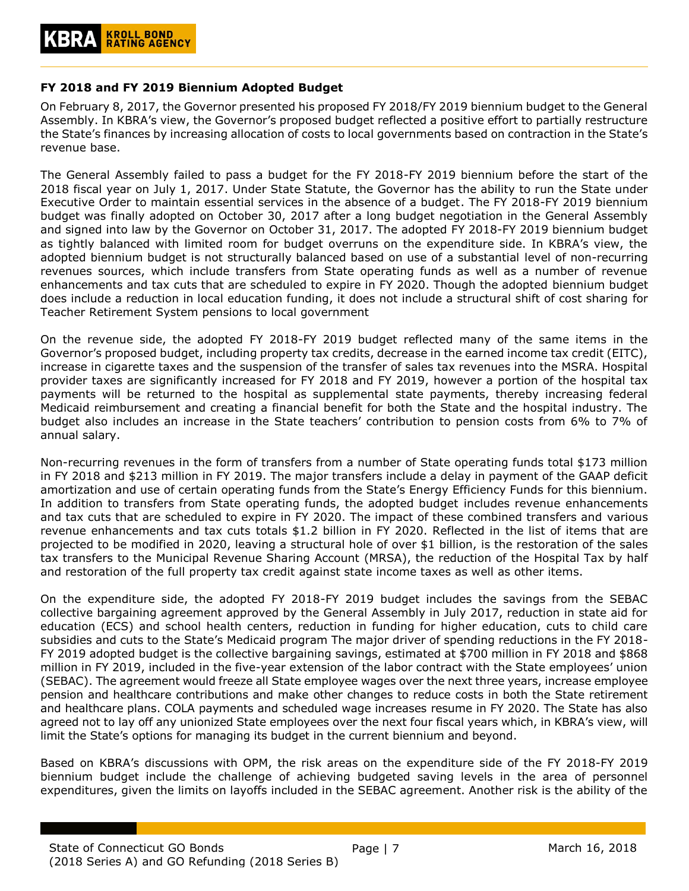#### <span id="page-6-0"></span>**FY 2018 and FY 2019 Biennium Adopted Budget**

On February 8, 2017, the Governor presented his proposed FY 2018/FY 2019 biennium budget to the General Assembly. In KBRA's view, the Governor's proposed budget reflected a positive effort to partially restructure the State's finances by increasing allocation of costs to local governments based on contraction in the State's revenue base.

The General Assembly failed to pass a budget for the FY 2018-FY 2019 biennium before the start of the 2018 fiscal year on July 1, 2017. Under State Statute, the Governor has the ability to run the State under Executive Order to maintain essential services in the absence of a budget. The FY 2018-FY 2019 biennium budget was finally adopted on October 30, 2017 after a long budget negotiation in the General Assembly and signed into law by the Governor on October 31, 2017. The adopted FY 2018-FY 2019 biennium budget as tightly balanced with limited room for budget overruns on the expenditure side. In KBRA's view, the adopted biennium budget is not structurally balanced based on use of a substantial level of non-recurring revenues sources, which include transfers from State operating funds as well as a number of revenue enhancements and tax cuts that are scheduled to expire in FY 2020. Though the adopted biennium budget does include a reduction in local education funding, it does not include a structural shift of cost sharing for Teacher Retirement System pensions to local government

On the revenue side, the adopted FY 2018-FY 2019 budget reflected many of the same items in the Governor's proposed budget, including property tax credits, decrease in the earned income tax credit (EITC), increase in cigarette taxes and the suspension of the transfer of sales tax revenues into the MSRA. Hospital provider taxes are significantly increased for FY 2018 and FY 2019, however a portion of the hospital tax payments will be returned to the hospital as supplemental state payments, thereby increasing federal Medicaid reimbursement and creating a financial benefit for both the State and the hospital industry. The budget also includes an increase in the State teachers' contribution to pension costs from 6% to 7% of annual salary.

Non-recurring revenues in the form of transfers from a number of State operating funds total \$173 million in FY 2018 and \$213 million in FY 2019. The major transfers include a delay in payment of the GAAP deficit amortization and use of certain operating funds from the State's Energy Efficiency Funds for this biennium. In addition to transfers from State operating funds, the adopted budget includes revenue enhancements and tax cuts that are scheduled to expire in FY 2020. The impact of these combined transfers and various revenue enhancements and tax cuts totals \$1.2 billion in FY 2020. Reflected in the list of items that are projected to be modified in 2020, leaving a structural hole of over \$1 billion, is the restoration of the sales tax transfers to the Municipal Revenue Sharing Account (MRSA), the reduction of the Hospital Tax by half and restoration of the full property tax credit against state income taxes as well as other items.

On the expenditure side, the adopted FY 2018-FY 2019 budget includes the savings from the SEBAC collective bargaining agreement approved by the General Assembly in July 2017, reduction in state aid for education (ECS) and school health centers, reduction in funding for higher education, cuts to child care subsidies and cuts to the State's Medicaid program The major driver of spending reductions in the FY 2018- FY 2019 adopted budget is the collective bargaining savings, estimated at \$700 million in FY 2018 and \$868 million in FY 2019, included in the five-year extension of the labor contract with the State employees' union (SEBAC). The agreement would freeze all State employee wages over the next three years, increase employee pension and healthcare contributions and make other changes to reduce costs in both the State retirement and healthcare plans. COLA payments and scheduled wage increases resume in FY 2020. The State has also agreed not to lay off any unionized State employees over the next four fiscal years which, in KBRA's view, will limit the State's options for managing its budget in the current biennium and beyond.

Based on KBRA's discussions with OPM, the risk areas on the expenditure side of the FY 2018-FY 2019 biennium budget include the challenge of achieving budgeted saving levels in the area of personnel expenditures, given the limits on layoffs included in the SEBAC agreement. Another risk is the ability of the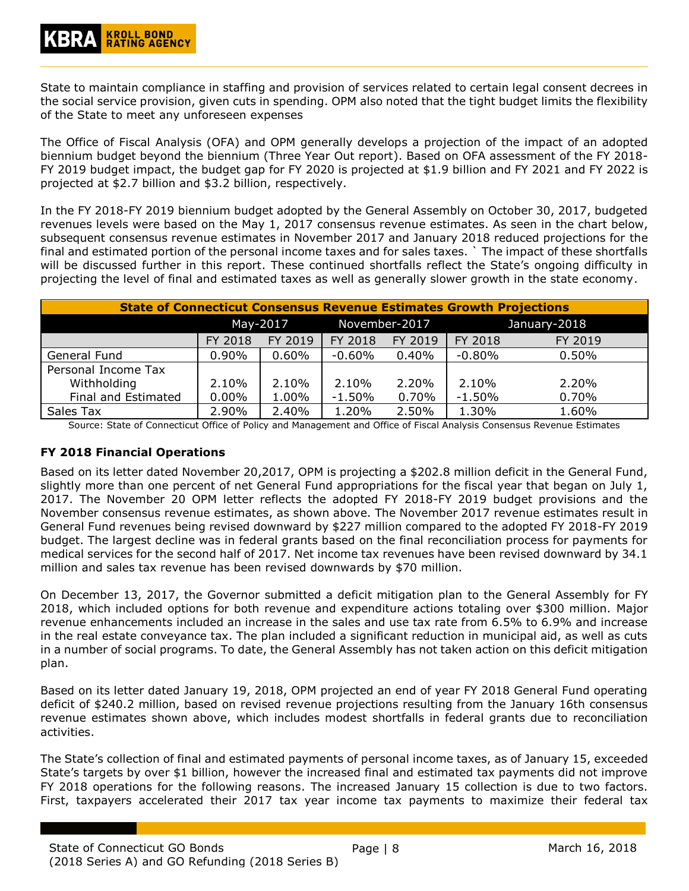State to maintain compliance in staffing and provision of services related to certain legal consent decrees in the social service provision, given cuts in spending. OPM also noted that the tight budget limits the flexibility of the State to meet any unforeseen expenses

The Office of Fiscal Analysis (OFA) and OPM generally develops a projection of the impact of an adopted biennium budget beyond the biennium (Three Year Out report). Based on OFA assessment of the FY 2018- FY 2019 budget impact, the budget gap for FY 2020 is projected at \$1.9 billion and FY 2021 and FY 2022 is projected at \$2.7 billion and \$3.2 billion, respectively.

In the FY 2018-FY 2019 biennium budget adopted by the General Assembly on October 30, 2017, budgeted revenues levels were based on the May 1, 2017 consensus revenue estimates. As seen in the chart below, subsequent consensus revenue estimates in November 2017 and January 2018 reduced projections for the final and estimated portion of the personal income taxes and for sales taxes. ` The impact of these shortfalls will be discussed further in this report. These continued shortfalls reflect the State's ongoing difficulty in projecting the level of final and estimated taxes as well as generally slower growth in the state economy.

| <b>State of Connecticut Consensus Revenue Estimates Growth Projections</b> |          |         |               |          |              |         |  |  |
|----------------------------------------------------------------------------|----------|---------|---------------|----------|--------------|---------|--|--|
|                                                                            | May-2017 |         | November-2017 |          | January-2018 |         |  |  |
|                                                                            | FY 2018  | FY 2019 | FY 2018       | FY 2019  | FY 2018      | FY 2019 |  |  |
| General Fund                                                               | $0.90\%$ | 0.60%   | $-0.60%$      | 0.40%    | $-0.80%$     | 0.50%   |  |  |
| Personal Income Tax                                                        |          |         |               |          |              |         |  |  |
| Withholding                                                                | $2.10\%$ | 2.10%   | 2.10%         | 2.20%    | 2.10%        | 2.20%   |  |  |
| Final and Estimated                                                        | $0.00\%$ | 1.00%   | $-1.50%$      | $0.70\%$ | $-1.50%$     | 0.70%   |  |  |
| Sales Tax                                                                  | 2.90%    | 2.40%   | 1.20%         | 2.50%    | 1.30%        | 1.60%   |  |  |

Source: State of Connecticut Office of Policy and Management and Office of Fiscal Analysis Consensus Revenue Estimates

#### <span id="page-7-0"></span>**FY 2018 Financial Operations**

Based on its letter dated November 20,2017, OPM is projecting a \$202.8 million deficit in the General Fund, slightly more than one percent of net General Fund appropriations for the fiscal year that began on July 1, 2017. The November 20 OPM letter reflects the adopted FY 2018-FY 2019 budget provisions and the November consensus revenue estimates, as shown above. The November 2017 revenue estimates result in General Fund revenues being revised downward by \$227 million compared to the adopted FY 2018-FY 2019 budget. The largest decline was in federal grants based on the final reconciliation process for payments for medical services for the second half of 2017. Net income tax revenues have been revised downward by 34.1 million and sales tax revenue has been revised downwards by \$70 million.

On December 13, 2017, the Governor submitted a deficit mitigation plan to the General Assembly for FY 2018, which included options for both revenue and expenditure actions totaling over \$300 million. Major revenue enhancements included an increase in the sales and use tax rate from 6.5% to 6.9% and increase in the real estate conveyance tax. The plan included a significant reduction in municipal aid, as well as cuts in a number of social programs. To date, the General Assembly has not taken action on this deficit mitigation plan.

Based on its letter dated January 19, 2018, OPM projected an end of year FY 2018 General Fund operating deficit of \$240.2 million, based on revised revenue projections resulting from the January 16th consensus revenue estimates shown above, which includes modest shortfalls in federal grants due to reconciliation activities.

The State's collection of final and estimated payments of personal income taxes, as of January 15, exceeded State's targets by over \$1 billion, however the increased final and estimated tax payments did not improve FY 2018 operations for the following reasons. The increased January 15 collection is due to two factors. First, taxpayers accelerated their 2017 tax year income tax payments to maximize their federal tax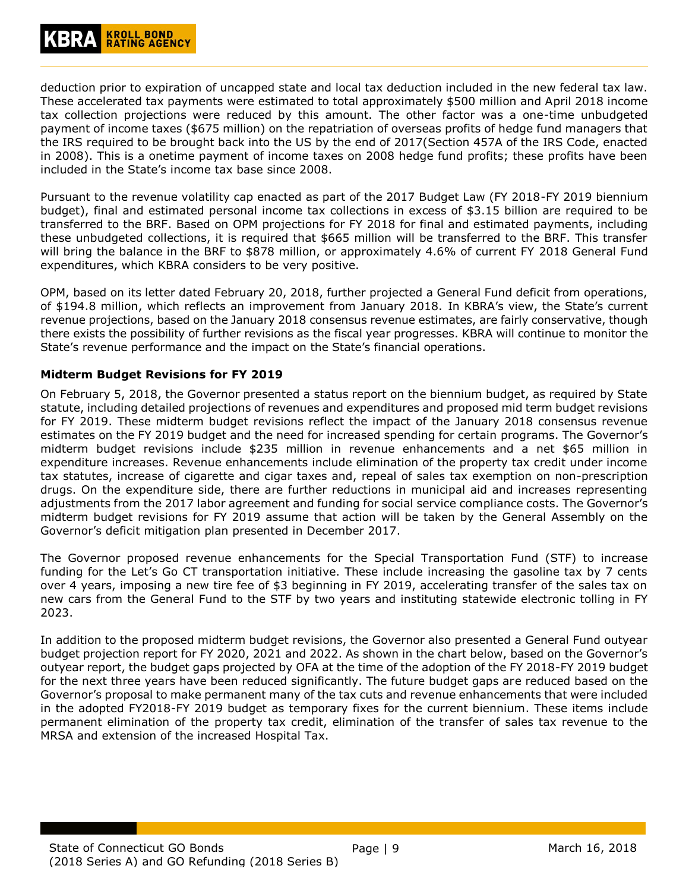deduction prior to expiration of uncapped state and local tax deduction included in the new federal tax law. These accelerated tax payments were estimated to total approximately \$500 million and April 2018 income tax collection projections were reduced by this amount. The other factor was a one-time unbudgeted payment of income taxes (\$675 million) on the repatriation of overseas profits of hedge fund managers that the IRS required to be brought back into the US by the end of 2017(Section 457A of the IRS Code, enacted in 2008). This is a onetime payment of income taxes on 2008 hedge fund profits; these profits have been included in the State's income tax base since 2008.

Pursuant to the revenue volatility cap enacted as part of the 2017 Budget Law (FY 2018-FY 2019 biennium budget), final and estimated personal income tax collections in excess of \$3.15 billion are required to be transferred to the BRF. Based on OPM projections for FY 2018 for final and estimated payments, including these unbudgeted collections, it is required that \$665 million will be transferred to the BRF. This transfer will bring the balance in the BRF to \$878 million, or approximately 4.6% of current FY 2018 General Fund expenditures, which KBRA considers to be very positive.

OPM, based on its letter dated February 20, 2018, further projected a General Fund deficit from operations, of \$194.8 million, which reflects an improvement from January 2018. In KBRA's view, the State's current revenue projections, based on the January 2018 consensus revenue estimates, are fairly conservative, though there exists the possibility of further revisions as the fiscal year progresses. KBRA will continue to monitor the State's revenue performance and the impact on the State's financial operations.

#### <span id="page-8-0"></span>**Midterm Budget Revisions for FY 2019**

On February 5, 2018, the Governor presented a status report on the biennium budget, as required by State statute, including detailed projections of revenues and expenditures and proposed mid term budget revisions for FY 2019. These midterm budget revisions reflect the impact of the January 2018 consensus revenue estimates on the FY 2019 budget and the need for increased spending for certain programs. The Governor's midterm budget revisions include \$235 million in revenue enhancements and a net \$65 million in expenditure increases. Revenue enhancements include elimination of the property tax credit under income tax statutes, increase of cigarette and cigar taxes and, repeal of sales tax exemption on non-prescription drugs. On the expenditure side, there are further reductions in municipal aid and increases representing adjustments from the 2017 labor agreement and funding for social service compliance costs. The Governor's midterm budget revisions for FY 2019 assume that action will be taken by the General Assembly on the Governor's deficit mitigation plan presented in December 2017.

The Governor proposed revenue enhancements for the Special Transportation Fund (STF) to increase funding for the Let's Go CT transportation initiative. These include increasing the gasoline tax by 7 cents over 4 years, imposing a new tire fee of \$3 beginning in FY 2019, accelerating transfer of the sales tax on new cars from the General Fund to the STF by two years and instituting statewide electronic tolling in FY 2023.

In addition to the proposed midterm budget revisions, the Governor also presented a General Fund outyear budget projection report for FY 2020, 2021 and 2022. As shown in the chart below, based on the Governor's outyear report, the budget gaps projected by OFA at the time of the adoption of the FY 2018-FY 2019 budget for the next three years have been reduced significantly. The future budget gaps are reduced based on the Governor's proposal to make permanent many of the tax cuts and revenue enhancements that were included in the adopted FY2018-FY 2019 budget as temporary fixes for the current biennium. These items include permanent elimination of the property tax credit, elimination of the transfer of sales tax revenue to the MRSA and extension of the increased Hospital Tax.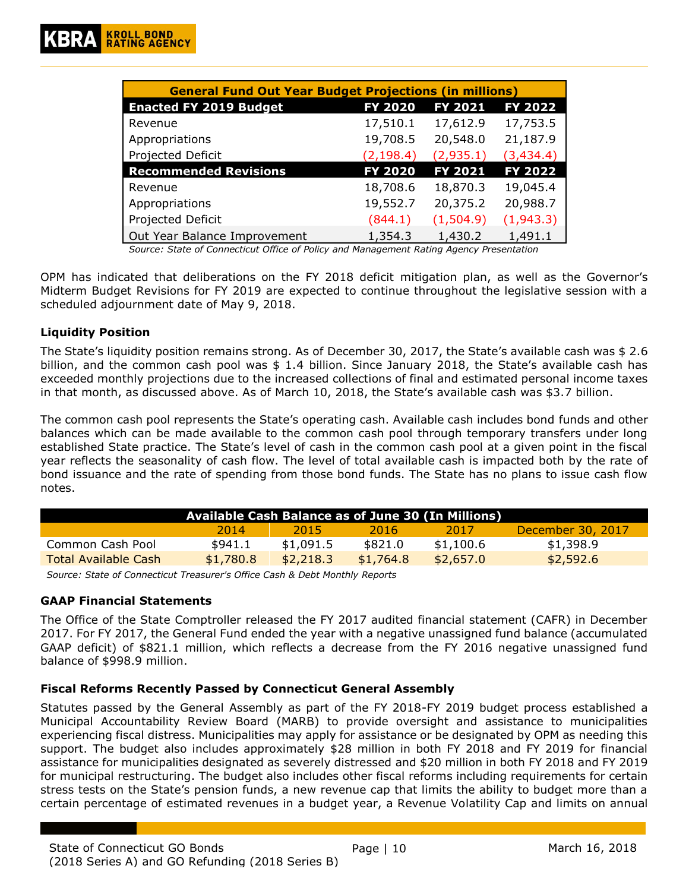| <b>General Fund Out Year Budget Projections (in millions)</b> |            |           |            |  |  |  |  |  |
|---------------------------------------------------------------|------------|-----------|------------|--|--|--|--|--|
| <b>Enacted FY 2019 Budget</b>                                 | FY 2020    | FY 2021   | FY 2022    |  |  |  |  |  |
| Revenue                                                       | 17,510.1   | 17,612.9  | 17,753.5   |  |  |  |  |  |
| Appropriations                                                | 19,708.5   | 20,548.0  | 21,187.9   |  |  |  |  |  |
| Projected Deficit                                             | (2, 198.4) | (2,935.1) | (3, 434.4) |  |  |  |  |  |
| <b>Recommended Revisions</b>                                  | FY 2020    | FY 2021   | FY 2022    |  |  |  |  |  |
| Revenue                                                       | 18,708.6   | 18,870.3  | 19,045.4   |  |  |  |  |  |
| Appropriations                                                | 19,552.7   | 20,375.2  | 20,988.7   |  |  |  |  |  |
| Projected Deficit                                             | (844.1)    | (1,504.9) | (1,943.3)  |  |  |  |  |  |
| Out Year Balance Improvement                                  | 1,354.3    | 1,430.2   | 1,491.1    |  |  |  |  |  |

*Source: State of Connecticut Office of Policy and Management Rating Agency Presentation*

OPM has indicated that deliberations on the FY 2018 deficit mitigation plan, as well as the Governor's Midterm Budget Revisions for FY 2019 are expected to continue throughout the legislative session with a scheduled adjournment date of May 9, 2018.

#### <span id="page-9-0"></span>**Liquidity Position**

The State's liquidity position remains strong. As of December 30, 2017, the State's available cash was \$ 2.6 billion, and the common cash pool was \$ 1.4 billion. Since January 2018, the State's available cash has exceeded monthly projections due to the increased collections of final and estimated personal income taxes in that month, as discussed above. As of March 10, 2018, the State's available cash was \$3.7 billion.

The common cash pool represents the State's operating cash. Available cash includes bond funds and other balances which can be made available to the common cash pool through temporary transfers under long established State practice. The State's level of cash in the common cash pool at a given point in the fiscal year reflects the seasonality of cash flow. The level of total available cash is impacted both by the rate of bond issuance and the rate of spending from those bond funds. The State has no plans to issue cash flow notes.

| Available Cash Balance as of June 30 (In Millions) |           |           |           |           |                   |  |  |
|----------------------------------------------------|-----------|-----------|-----------|-----------|-------------------|--|--|
|                                                    | 2014      | 2015      | 2016.     | 2017      | December 30, 2017 |  |  |
| Common Cash Pool                                   | \$941.1   | \$1,091.5 | \$821.0   | \$1,100.6 | \$1,398.9         |  |  |
| Total Available Cash                               | \$1,780.8 | \$2,218,3 | \$1,764.8 | \$2,657.0 | \$2,592.6         |  |  |

*Source: State of Connecticut Treasurer's Office Cash & Debt Monthly Reports*

#### <span id="page-9-1"></span>**GAAP Financial Statements**

The Office of the State Comptroller released the FY 2017 audited financial statement (CAFR) in December 2017. For FY 2017, the General Fund ended the year with a negative unassigned fund balance (accumulated GAAP deficit) of \$821.1 million, which reflects a decrease from the FY 2016 negative unassigned fund balance of \$998.9 million.

#### <span id="page-9-2"></span>**Fiscal Reforms Recently Passed by Connecticut General Assembly**

Statutes passed by the General Assembly as part of the FY 2018-FY 2019 budget process established a Municipal Accountability Review Board (MARB) to provide oversight and assistance to municipalities experiencing fiscal distress. Municipalities may apply for assistance or be designated by OPM as needing this support. The budget also includes approximately \$28 million in both FY 2018 and FY 2019 for financial assistance for municipalities designated as severely distressed and \$20 million in both FY 2018 and FY 2019 for municipal restructuring. The budget also includes other fiscal reforms including requirements for certain stress tests on the State's pension funds, a new revenue cap that limits the ability to budget more than a certain percentage of estimated revenues in a budget year, a Revenue Volatility Cap and limits on annual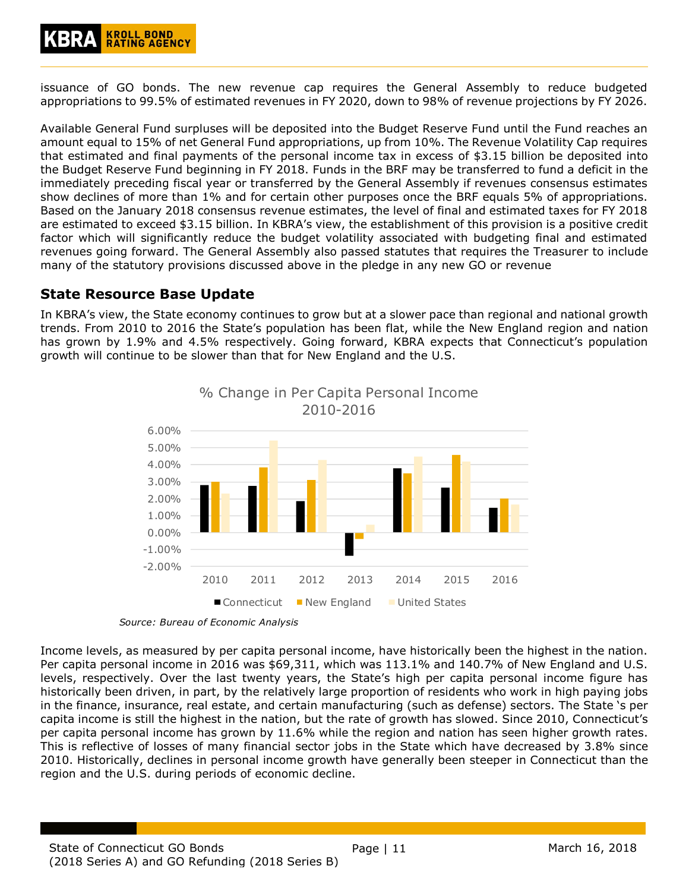

issuance of GO bonds. The new revenue cap requires the General Assembly to reduce budgeted appropriations to 99.5% of estimated revenues in FY 2020, down to 98% of revenue projections by FY 2026.

Available General Fund surpluses will be deposited into the Budget Reserve Fund until the Fund reaches an amount equal to 15% of net General Fund appropriations, up from 10%. The Revenue Volatility Cap requires that estimated and final payments of the personal income tax in excess of \$3.15 billion be deposited into the Budget Reserve Fund beginning in FY 2018. Funds in the BRF may be transferred to fund a deficit in the immediately preceding fiscal year or transferred by the General Assembly if revenues consensus estimates show declines of more than 1% and for certain other purposes once the BRF equals 5% of appropriations. Based on the January 2018 consensus revenue estimates, the level of final and estimated taxes for FY 2018 are estimated to exceed \$3.15 billion. In KBRA's view, the establishment of this provision is a positive credit factor which will significantly reduce the budget volatility associated with budgeting final and estimated revenues going forward. The General Assembly also passed statutes that requires the Treasurer to include many of the statutory provisions discussed above in the pledge in any new GO or revenue

# <span id="page-10-0"></span>**State Resource Base Update**

In KBRA's view, the State economy continues to grow but at a slower pace than regional and national growth trends. From 2010 to 2016 the State's population has been flat, while the New England region and nation has grown by 1.9% and 4.5% respectively. Going forward, KBRA expects that Connecticut's population growth will continue to be slower than that for New England and the U.S.



*Source: Bureau of Economic Analysis*

Income levels, as measured by per capita personal income, have historically been the highest in the nation. Per capita personal income in 2016 was \$69,311, which was 113.1% and 140.7% of New England and U.S. levels, respectively. Over the last twenty years, the State's high per capita personal income figure has historically been driven, in part, by the relatively large proportion of residents who work in high paying jobs in the finance, insurance, real estate, and certain manufacturing (such as defense) sectors. The State 's per capita income is still the highest in the nation, but the rate of growth has slowed. Since 2010, Connecticut's per capita personal income has grown by 11.6% while the region and nation has seen higher growth rates. This is reflective of losses of many financial sector jobs in the State which have decreased by 3.8% since 2010. Historically, declines in personal income growth have generally been steeper in Connecticut than the region and the U.S. during periods of economic decline.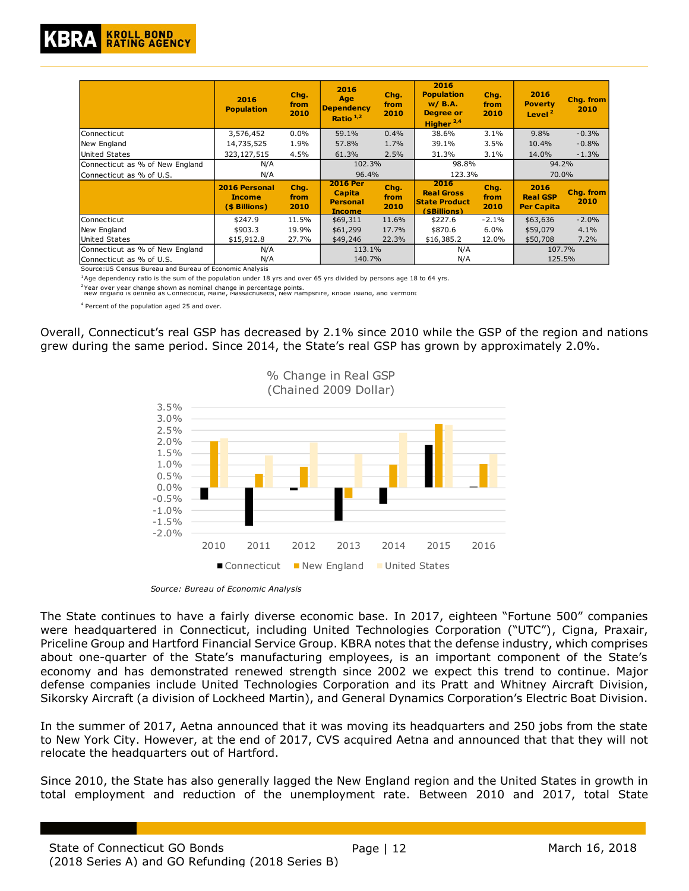

|                                 | 2016<br><b>Population</b>                              | Chg.<br>from<br>2010 | 2016<br>Age<br><b>Dependency</b><br>Ratio $1,2$               | Chq.<br>from<br>2010 | 2016<br><b>Population</b><br>$W/$ B.A.<br><b>Degree or</b><br>Higher $2,4$ | Chq.<br>from<br>2010 | 2016<br><b>Poverty</b><br>Level <sup>2</sup> | Chg. from<br>2010 |
|---------------------------------|--------------------------------------------------------|----------------------|---------------------------------------------------------------|----------------------|----------------------------------------------------------------------------|----------------------|----------------------------------------------|-------------------|
| lConnecticut                    | 3,576,452                                              | $0.0\%$              | 59.1%                                                         | 0.4%                 | 38.6%                                                                      | 3.1%                 | 9.8%                                         | $-0.3%$           |
| New England                     | 14,735,525                                             | 1.9%                 | 57.8%                                                         | 1.7%                 | 39.1%                                                                      | 3.5%                 | 10.4%                                        | $-0.8%$           |
| United States                   | 323,127,515                                            | 4.5%                 | 61.3%                                                         | 2.5%                 | 31.3%                                                                      | $3.1\%$              | 14.0%                                        | $-1.3%$           |
| Connecticut as % of New England | N/A                                                    |                      | 102.3%                                                        |                      | 98.8%                                                                      |                      | 94.2%                                        |                   |
| Connecticut as % of U.S.        | N/A                                                    |                      | 96.4%                                                         |                      | 123.3%                                                                     |                      | 70.0%                                        |                   |
|                                 | <b>2016 Personal</b><br><b>Income</b><br>(\$ Billions) | Chg.<br>from<br>2010 | <b>2016 Per</b><br>Capita<br><b>Personal</b><br><u>Income</u> | Chq.<br>from<br>2010 | 2016<br><b>Real Gross</b><br><b>State Product</b><br>(\$Billions)          | Chq.<br>from<br>2010 | 2016<br><b>Real GSP</b><br><b>Per Capita</b> | Chg. from<br>2010 |
| Connecticut                     | \$247.9                                                | 11.5%                | \$69,311                                                      | 11.6%                | \$227.6                                                                    | $-2.1%$              | \$63,636                                     | $-2.0%$           |
| New England                     | \$903.3                                                | 19.9%                | \$61,299                                                      | 17.7%                | \$870.6                                                                    | 6.0%                 | \$59,079                                     | 4.1%              |
| United States                   | \$15,912.8                                             | 27.7%                | \$49,246                                                      | 22.3%                | \$16,385.2                                                                 | 12.0%                | \$50,708                                     | 7.2%              |
| Connecticut as % of New England | N/A                                                    |                      | 113.1%                                                        |                      | N/A                                                                        |                      | 107.7%                                       |                   |
| Connecticut as % of U.S.        | N/A                                                    |                      | 140.7%                                                        |                      | N/A                                                                        |                      | 125.5%                                       |                   |

Source:US Census Bureau and Bureau of Economic Analysis

 $1A$ ge dependency ratio is the sum of the population under 18 yrs and over 65 yrs divided by persons age 18 to 64 yrs.

<sup>2</sup>Year over year change shown as nominal change in percentage points.<br><sup>-</sup> New England is defined as Connecticut, Maine, Massachusetts, New Hampshire, Khode Island, and Vermont .

4 Percent of the population aged 25 and over.

Overall, Connecticut's real GSP has decreased by 2.1% since 2010 while the GSP of the region and nations grew during the same period. Since 2014, the State's real GSP has grown by approximately 2.0%.



*Source: Bureau of Economic Analysis*

The State continues to have a fairly diverse economic base. In 2017, eighteen "Fortune 500" companies were headquartered in Connecticut, including United Technologies Corporation ("UTC"), Cigna, Praxair, Priceline Group and Hartford Financial Service Group. KBRA notes that the defense industry, which comprises about one-quarter of the State's manufacturing employees, is an important component of the State's economy and has demonstrated renewed strength since 2002 we expect this trend to continue. Major defense companies include United Technologies Corporation and its Pratt and Whitney Aircraft Division, Sikorsky Aircraft (a division of Lockheed Martin), and General Dynamics Corporation's Electric Boat Division.

In the summer of 2017, Aetna announced that it was moving its headquarters and 250 jobs from the state to New York City. However, at the end of 2017, CVS acquired Aetna and announced that that they will not relocate the headquarters out of Hartford.

Since 2010, the State has also generally lagged the New England region and the United States in growth in total employment and reduction of the unemployment rate. Between 2010 and 2017, total State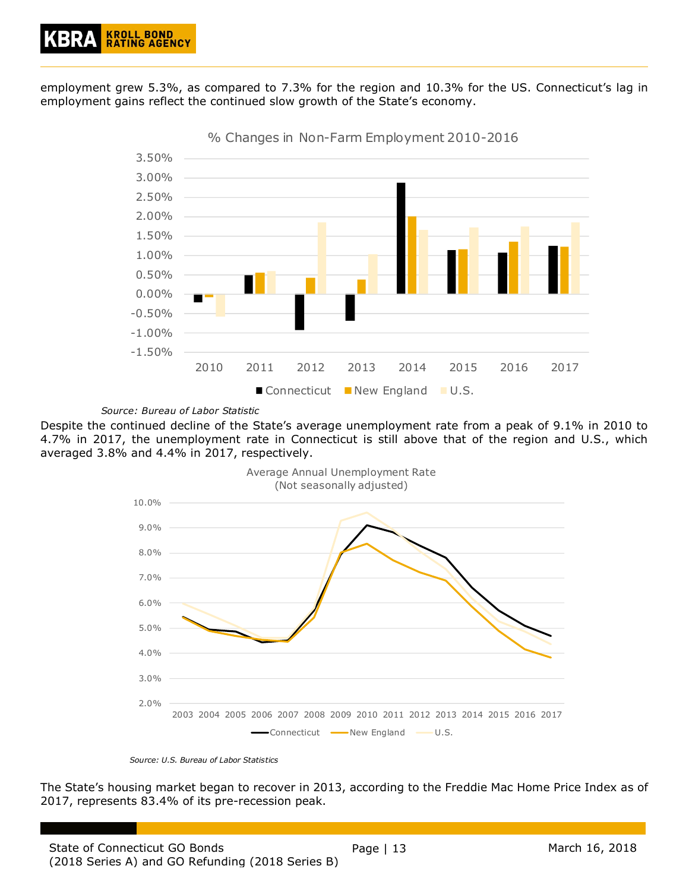employment grew 5.3%, as compared to 7.3% for the region and 10.3% for the US. Connecticut's lag in employment gains reflect the continued slow growth of the State's economy.



% Changes in Non-Farm Employment 2010-2016

*Source: Bureau of Labor Statistic*

Despite the continued decline of the State's average unemployment rate from a peak of 9.1% in 2010 to 4.7% in 2017, the unemployment rate in Connecticut is still above that of the region and U.S., which averaged 3.8% and 4.4% in 2017, respectively.



*Source: U.S. Bureau of Labor Statistics*

The State's housing market began to recover in 2013, according to the Freddie Mac Home Price Index as of 2017, represents 83.4% of its pre-recession peak.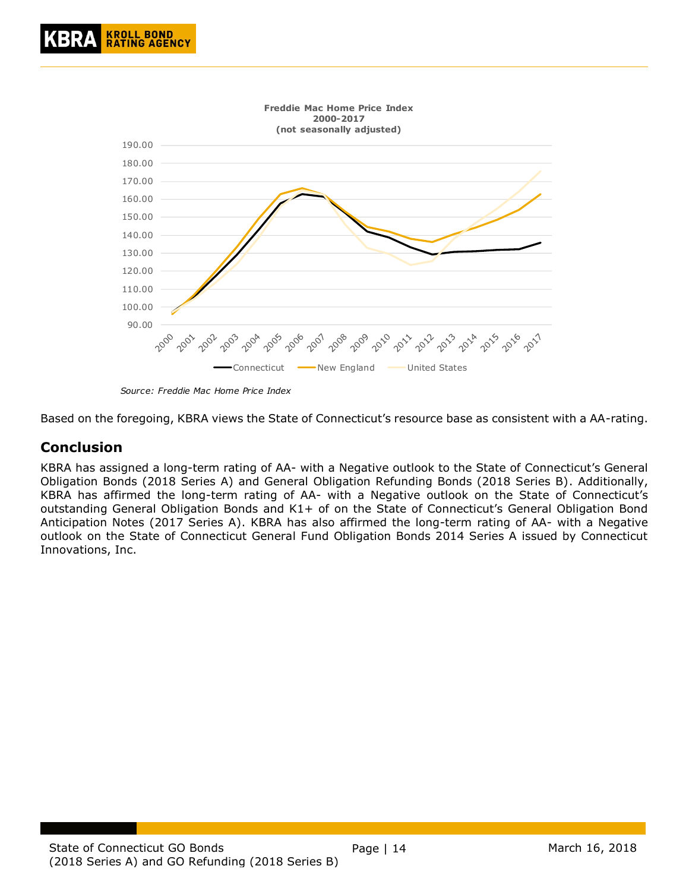

*Source: Freddie Mac Home Price Index*

Based on the foregoing, KBRA views the State of Connecticut's resource base as consistent with a AA-rating.

### <span id="page-13-0"></span>**Conclusion**

KBRA has assigned a long-term rating of AA- with a Negative outlook to the State of Connecticut's General Obligation Bonds (2018 Series A) and General Obligation Refunding Bonds (2018 Series B). Additionally, KBRA has affirmed the long-term rating of AA- with a Negative outlook on the State of Connecticut's outstanding General Obligation Bonds and K1+ of on the State of Connecticut's General Obligation Bond Anticipation Notes (2017 Series A). KBRA has also affirmed the long-term rating of AA- with a Negative outlook on the State of Connecticut General Fund Obligation Bonds 2014 Series A issued by Connecticut Innovations, Inc.